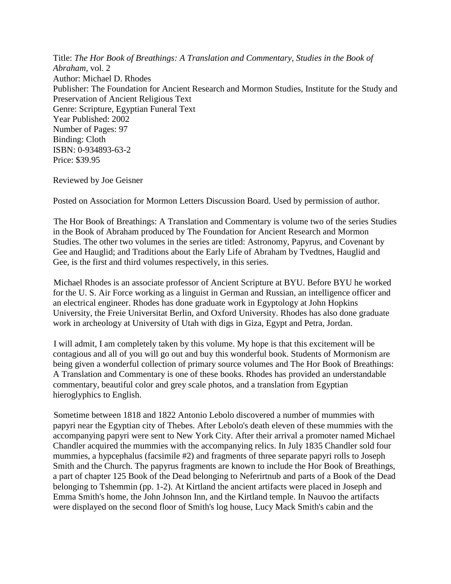Title: *The Hor Book of Breathings: A Translation and Commentary, Studies in the Book of Abraham,* vol. 2 Author: Michael D. Rhodes Publisher: The Foundation for Ancient Research and Mormon Studies, Institute for the Study and Preservation of Ancient Religious Text Genre: Scripture, Egyptian Funeral Text Year Published: 2002 Number of Pages: 97 Binding: Cloth ISBN: 0-934893-63-2 Price: \$39.95

Reviewed by Joe Geisner

Posted on Association for Mormon Letters Discussion Board. Used by permission of author.

The Hor Book of Breathings: A Translation and Commentary is volume two of the series Studies in the Book of Abraham produced by The Foundation for Ancient Research and Mormon Studies. The other two volumes in the series are titled: Astronomy, Papyrus, and Covenant by Gee and Hauglid; and Traditions about the Early Life of Abraham by Tvedtnes, Hauglid and Gee, is the first and third volumes respectively, in this series.

Michael Rhodes is an associate professor of Ancient Scripture at BYU. Before BYU he worked for the U. S. Air Force working as a linguist in German and Russian, an intelligence officer and an electrical engineer. Rhodes has done graduate work in Egyptology at John Hopkins University, the Freie Universitat Berlin, and Oxford University. Rhodes has also done graduate work in archeology at University of Utah with digs in Giza, Egypt and Petra, Jordan.

I will admit, I am completely taken by this volume. My hope is that this excitement will be contagious and all of you will go out and buy this wonderful book. Students of Mormonism are being given a wonderful collection of primary source volumes and The Hor Book of Breathings: A Translation and Commentary is one of these books. Rhodes has provided an understandable commentary, beautiful color and grey scale photos, and a translation from Egyptian hieroglyphics to English.

Sometime between 1818 and 1822 Antonio Lebolo discovered a number of mummies with papyri near the Egyptian city of Thebes. After Lebolo's death eleven of these mummies with the accompanying papyri were sent to New York City. After their arrival a promoter named Michael Chandler acquired the mummies with the accompanying relics. In July 1835 Chandler sold four mummies, a hypcephalus (facsimile #2) and fragments of three separate papyri rolls to Joseph Smith and the Church. The papyrus fragments are known to include the Hor Book of Breathings, a part of chapter 125 Book of the Dead belonging to Neferirtnub and parts of a Book of the Dead belonging to Tshemmin (pp. 1-2). At Kirtland the ancient artifacts were placed in Joseph and Emma Smith's home, the John Johnson Inn, and the Kirtland temple. In Nauvoo the artifacts were displayed on the second floor of Smith's log house, Lucy Mack Smith's cabin and the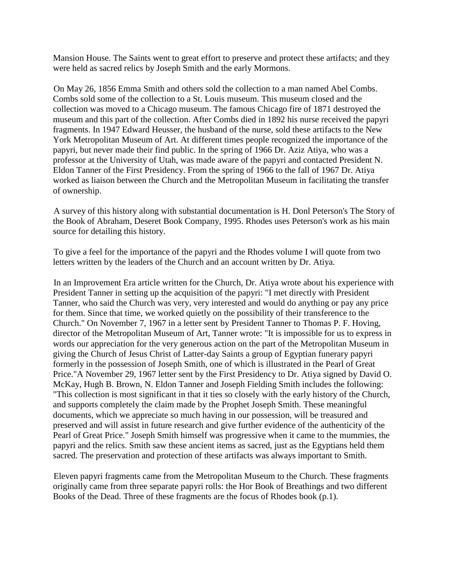Mansion House. The Saints went to great effort to preserve and protect these artifacts; and they were held as sacred relics by Joseph Smith and the early Mormons.

On May 26, 1856 Emma Smith and others sold the collection to a man named Abel Combs. Combs sold some of the collection to a St. Louis museum. This museum closed and the collection was moved to a Chicago museum. The famous Chicago fire of 1871 destroyed the museum and this part of the collection. After Combs died in 1892 his nurse received the papyri fragments. In 1947 Edward Heusser, the husband of the nurse, sold these artifacts to the New York Metropolitan Museum of Art. At different times people recognized the importance of the papyri, but never made their find public. In the spring of 1966 Dr. Aziz Atiya, who was a professor at the University of Utah, was made aware of the papyri and contacted President N. Eldon Tanner of the First Presidency. From the spring of 1966 to the fall of 1967 Dr. Atiya worked as liaison between the Church and the Metropolitan Museum in facilitating the transfer of ownership.

A survey of this history along with substantial documentation is H. Donl Peterson's The Story of the Book of Abraham, Deseret Book Company, 1995. Rhodes uses Peterson's work as his main source for detailing this history.

To give a feel for the importance of the papyri and the Rhodes volume I will quote from two letters written by the leaders of the Church and an account written by Dr. Atiya.

In an Improvement Era article written for the Church, Dr. Atiya wrote about his experience with President Tanner in setting up the acquisition of the papyri: "I met directly with President Tanner, who said the Church was very, very interested and would do anything or pay any price for them. Since that time, we worked quietly on the possibility of their transference to the Church." On November 7, 1967 in a letter sent by President Tanner to Thomas P. F. Hoving, director of the Metropolitan Museum of Art, Tanner wrote: "It is impossible for us to express in words our appreciation for the very generous action on the part of the Metropolitan Museum in giving the Church of Jesus Christ of Latter-day Saints a group of Egyptian funerary papyri formerly in the possession of Joseph Smith, one of which is illustrated in the Pearl of Great Price."A November 29, 1967 letter sent by the First Presidency to Dr. Atiya signed by David O. McKay, Hugh B. Brown, N. Eldon Tanner and Joseph Fielding Smith includes the following: "This collection is most significant in that it ties so closely with the early history of the Church, and supports completely the claim made by the Prophet Joseph Smith. These meaningful documents, which we appreciate so much having in our possession, will be treasured and preserved and will assist in future research and give further evidence of the authenticity of the Pearl of Great Price." Joseph Smith himself was progressive when it came to the mummies, the papyri and the relics. Smith saw these ancient items as sacred, just as the Egyptians held them sacred. The preservation and protection of these artifacts was always important to Smith.

Eleven papyri fragments came from the Metropolitan Museum to the Church. These fragments originally came from three separate papyri rolls: the Hor Book of Breathings and two different Books of the Dead. Three of these fragments are the focus of Rhodes book (p.1).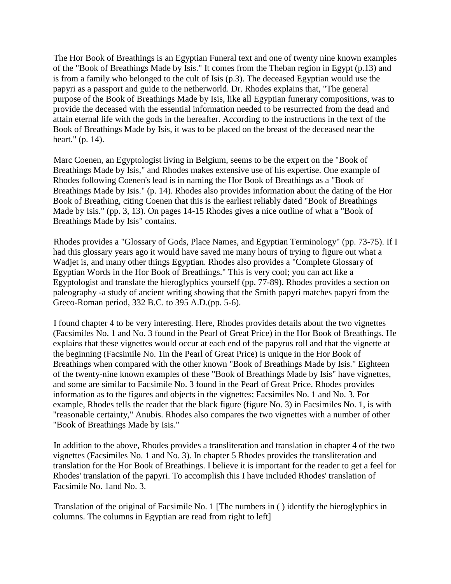The Hor Book of Breathings is an Egyptian Funeral text and one of twenty nine known examples of the "Book of Breathings Made by Isis." It comes from the Theban region in Egypt (p.13) and is from a family who belonged to the cult of Isis (p.3). The deceased Egyptian would use the papyri as a passport and guide to the netherworld. Dr. Rhodes explains that, "The general purpose of the Book of Breathings Made by Isis, like all Egyptian funerary compositions, was to provide the deceased with the essential information needed to be resurrected from the dead and attain eternal life with the gods in the hereafter. According to the instructions in the text of the Book of Breathings Made by Isis, it was to be placed on the breast of the deceased near the heart." (p. 14).

Marc Coenen, an Egyptologist living in Belgium, seems to be the expert on the "Book of Breathings Made by Isis," and Rhodes makes extensive use of his expertise. One example of Rhodes following Coenen's lead is in naming the Hor Book of Breathings as a "Book of Breathings Made by Isis." (p. 14). Rhodes also provides information about the dating of the Hor Book of Breathing, citing Coenen that this is the earliest reliably dated "Book of Breathings Made by Isis." (pp. 3, 13). On pages 14-15 Rhodes gives a nice outline of what a "Book of Breathings Made by Isis" contains.

Rhodes provides a "Glossary of Gods, Place Names, and Egyptian Terminology" (pp. 73-75). If I had this glossary years ago it would have saved me many hours of trying to figure out what a Wadjet is, and many other things Egyptian. Rhodes also provides a "Complete Glossary of Egyptian Words in the Hor Book of Breathings." This is very cool; you can act like a Egyptologist and translate the hieroglyphics yourself (pp. 77-89). Rhodes provides a section on paleography -a study of ancient writing showing that the Smith papyri matches papyri from the Greco-Roman period, 332 B.C. to 395 A.D.(pp. 5-6).

I found chapter 4 to be very interesting. Here, Rhodes provides details about the two vignettes (Facsimiles No. 1 and No. 3 found in the Pearl of Great Price) in the Hor Book of Breathings. He explains that these vignettes would occur at each end of the papyrus roll and that the vignette at the beginning (Facsimile No. 1in the Pearl of Great Price) is unique in the Hor Book of Breathings when compared with the other known "Book of Breathings Made by Isis." Eighteen of the twenty-nine known examples of these "Book of Breathings Made by Isis" have vignettes, and some are similar to Facsimile No. 3 found in the Pearl of Great Price. Rhodes provides information as to the figures and objects in the vignettes; Facsimiles No. 1 and No. 3. For example, Rhodes tells the reader that the black figure (figure No. 3) in Facsimiles No. 1, is with "reasonable certainty," Anubis. Rhodes also compares the two vignettes with a number of other "Book of Breathings Made by Isis."

In addition to the above, Rhodes provides a transliteration and translation in chapter 4 of the two vignettes (Facsimiles No. 1 and No. 3). In chapter 5 Rhodes provides the transliteration and translation for the Hor Book of Breathings. I believe it is important for the reader to get a feel for Rhodes' translation of the papyri. To accomplish this I have included Rhodes' translation of Facsimile No. 1and No. 3.

Translation of the original of Facsimile No. 1 [The numbers in ( ) identify the hieroglyphics in columns. The columns in Egyptian are read from right to left]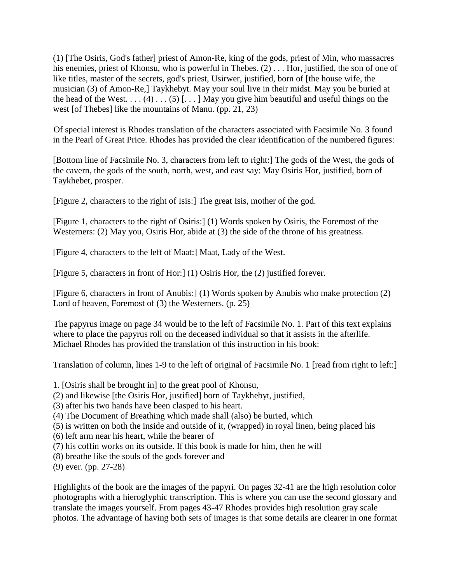(1) [The Osiris, God's father] priest of Amon-Re, king of the gods, priest of Min, who massacres his enemies, priest of Khonsu, who is powerful in Thebes. (2) . . . Hor, justified, the son of one of like titles, master of the secrets, god's priest, Usirwer, justified, born of [the house wife, the musician (3) of Amon-Re,] Taykhebyt. May your soul live in their midst. May you be buried at the head of the West.  $\dots$  (4)  $\dots$  (5) [ $\dots$ ] May you give him beautiful and useful things on the west [of Thebes] like the mountains of Manu. (pp. 21, 23)

Of special interest is Rhodes translation of the characters associated with Facsimile No. 3 found in the Pearl of Great Price. Rhodes has provided the clear identification of the numbered figures:

[Bottom line of Facsimile No. 3, characters from left to right:] The gods of the West, the gods of the cavern, the gods of the south, north, west, and east say: May Osiris Hor, justified, born of Taykhebet, prosper.

[Figure 2, characters to the right of Isis:] The great Isis, mother of the god.

[Figure 1, characters to the right of Osiris:] (1) Words spoken by Osiris, the Foremost of the Westerners: (2) May you, Osiris Hor, abide at (3) the side of the throne of his greatness.

[Figure 4, characters to the left of Maat:] Maat, Lady of the West.

[Figure 5, characters in front of Hor:] (1) Osiris Hor, the (2) justified forever.

[Figure 6, characters in front of Anubis:] (1) Words spoken by Anubis who make protection (2) Lord of heaven, Foremost of (3) the Westerners. (p. 25)

The papyrus image on page 34 would be to the left of Facsimile No. 1. Part of this text explains where to place the papyrus roll on the deceased individual so that it assists in the afterlife. Michael Rhodes has provided the translation of this instruction in his book:

Translation of column, lines 1-9 to the left of original of Facsimile No. 1 [read from right to left:]

1. [Osiris shall be brought in] to the great pool of Khonsu,

(2) and likewise [the Osiris Hor, justified] born of Taykhebyt, justified,

(3) after his two hands have been clasped to his heart.

(4) The Document of Breathing which made shall (also) be buried, which

(5) is written on both the inside and outside of it, (wrapped) in royal linen, being placed his

(6) left arm near his heart, while the bearer of

(7) his coffin works on its outside. If this book is made for him, then he will

(8) breathe like the souls of the gods forever and

(9) ever. (pp. 27-28)

Highlights of the book are the images of the papyri. On pages 32-41 are the high resolution color photographs with a hieroglyphic transcription. This is where you can use the second glossary and translate the images yourself. From pages 43-47 Rhodes provides high resolution gray scale photos. The advantage of having both sets of images is that some details are clearer in one format